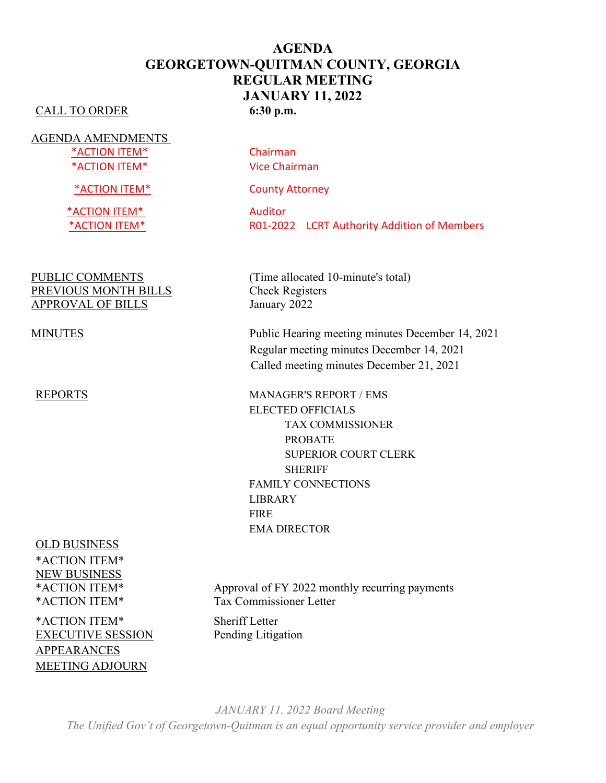## **AGENDA GEORGETOWN-QUITMAN COUNTY, GEORGIA REGULAR MEETING JANUARY 11, 2022** CALL TO ORDER **6:30 p.m.**

AGENDA AMENDMENTS \*ACTION ITEM\* Chairman \*ACTION ITEM\* Vice Chairman

\*ACTION ITEM\* Auditor

PREVIOUS MONTH BILLS<br>
Check Registers APPROVAL OF BILLS January 2022

OLD BUSINESS \*ACTION ITEM\* NEW BUSINESS

\*ACTION ITEM\* Sheriff Letter EXECUTIVE SESSION Pending Litigation APPEARANCES MEETING ADJOURN

\*ACTION ITEM\* County Attorney

\*ACTION ITEM\* R01-2022 LCRT Authority Addition of Members

PUBLIC COMMENTS (Time allocated 10-minute's total)

MINUTES Public Hearing meeting minutes December 14, 2021 Regular meeting minutes December 14, 2021 Called meeting minutes December 21, 2021

REPORTS MANAGER'S REPORT / EMS ELECTED OFFICIALS TAX COMMISSIONER PROBATE SUPERIOR COURT CLERK SHERIFF FAMILY CONNECTIONS LIBRARY FIRE EMA DIRECTOR

\*ACTION ITEM\* Approval of FY 2022 monthly recurring payments \*ACTION ITEM\* Tax Commissioner Letter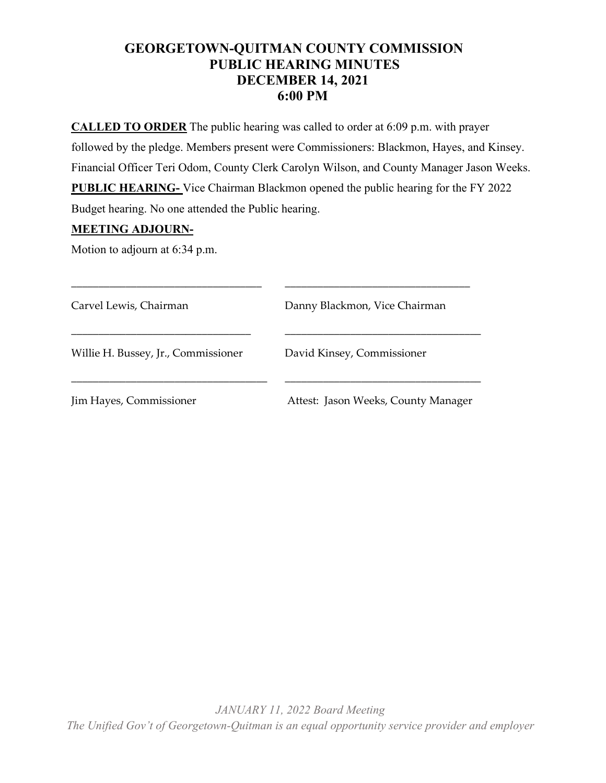# **GEORGETOWN-QUITMAN COUNTY COMMISSION PUBLIC HEARING MINUTES DECEMBER 14, 2021 6:00 PM**

**CALLED TO ORDER** The public hearing was called to order at 6:09 p.m. with prayer followed by the pledge. Members present were Commissioners: Blackmon, Hayes, and Kinsey. Financial Officer Teri Odom, County Clerk Carolyn Wilson, and County Manager Jason Weeks. **PUBLIC HEARING-** Vice Chairman Blackmon opened the public hearing for the FY 2022 Budget hearing. No one attended the Public hearing.

## **MEETING ADJOURN-**

Motion to adjourn at 6:34 p.m.

| Carvel Lewis, Chairman              | Danny Blackmon, Vice Chairman       |
|-------------------------------------|-------------------------------------|
| Willie H. Bussey, Jr., Commissioner | David Kinsey, Commissioner          |
| Jim Hayes, Commissioner             | Attest: Jason Weeks, County Manager |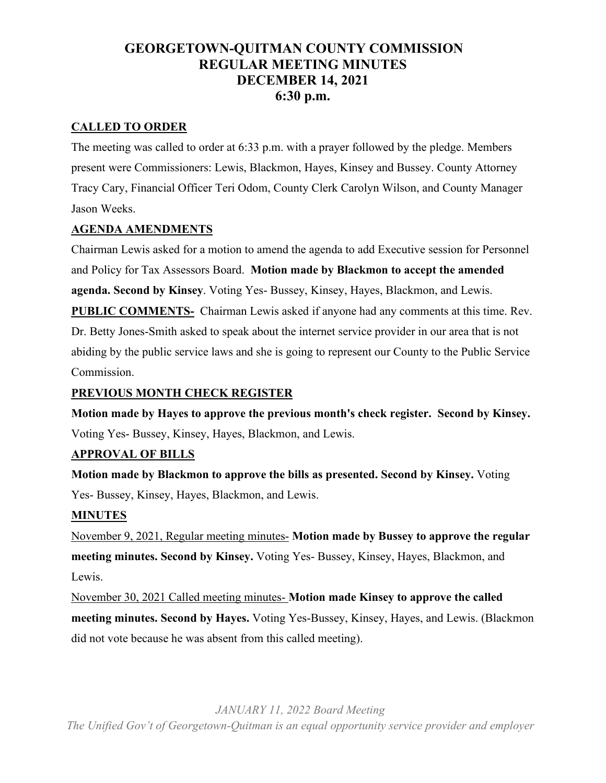# **GEORGETOWN-QUITMAN COUNTY COMMISSION REGULAR MEETING MINUTES DECEMBER 14, 2021 6:30 p.m.**

## **CALLED TO ORDER**

The meeting was called to order at 6:33 p.m. with a prayer followed by the pledge. Members present were Commissioners: Lewis, Blackmon, Hayes, Kinsey and Bussey. County Attorney Tracy Cary, Financial Officer Teri Odom, County Clerk Carolyn Wilson, and County Manager Jason Weeks.

## **AGENDA AMENDMENTS**

Chairman Lewis asked for a motion to amend the agenda to add Executive session for Personnel and Policy for Tax Assessors Board. **Motion made by Blackmon to accept the amended agenda. Second by Kinsey**. Voting Yes- Bussey, Kinsey, Hayes, Blackmon, and Lewis.

**PUBLIC COMMENTS-** Chairman Lewis asked if anyone had any comments at this time. Rev. Dr. Betty Jones-Smith asked to speak about the internet service provider in our area that is not abiding by the public service laws and she is going to represent our County to the Public Service Commission.

## **PREVIOUS MONTH CHECK REGISTER**

**Motion made by Hayes to approve the previous month's check register. Second by Kinsey.** Voting Yes- Bussey, Kinsey, Hayes, Blackmon, and Lewis.

## **APPROVAL OF BILLS**

**Motion made by Blackmon to approve the bills as presented. Second by Kinsey.** Voting Yes- Bussey, Kinsey, Hayes, Blackmon, and Lewis.

## **MINUTES**

November 9, 2021, Regular meeting minutes- **Motion made by Bussey to approve the regular meeting minutes. Second by Kinsey.** Voting Yes- Bussey, Kinsey, Hayes, Blackmon, and Lewis.

November 30, 2021 Called meeting minutes- **Motion made Kinsey to approve the called meeting minutes. Second by Hayes.** Voting Yes-Bussey, Kinsey, Hayes, and Lewis. (Blackmon did not vote because he was absent from this called meeting).

*JANUARY 11, 2022 Board Meeting*

*The Unified Gov't of Georgetown-Quitman is an equal opportunity service provider and employer*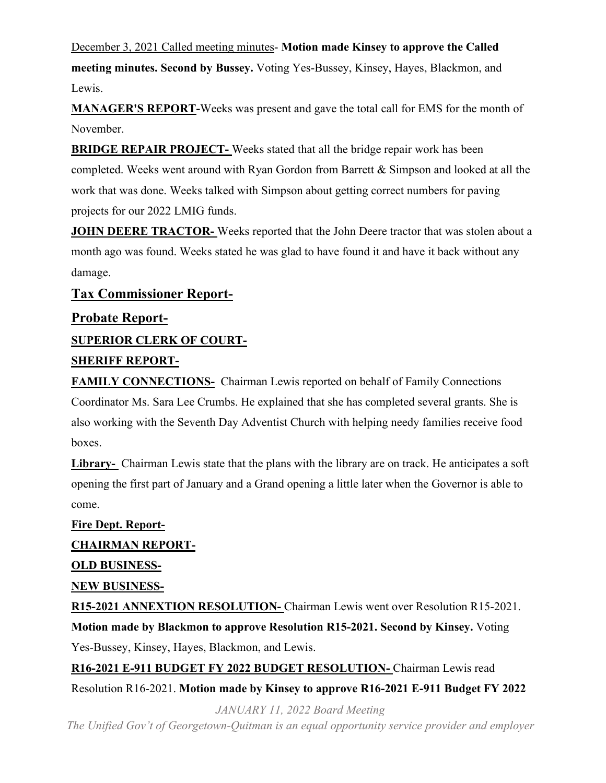December 3, 2021 Called meeting minutes- **Motion made Kinsey to approve the Called meeting minutes. Second by Bussey.** Voting Yes-Bussey, Kinsey, Hayes, Blackmon, and Lewis.

**MANAGER'S REPORT-**Weeks was present and gave the total call for EMS for the month of November.

**BRIDGE REPAIR PROJECT-** Weeks stated that all the bridge repair work has been completed. Weeks went around with Ryan Gordon from Barrett & Simpson and looked at all the work that was done. Weeks talked with Simpson about getting correct numbers for paving projects for our 2022 LMIG funds.

**JOHN DEERE TRACTOR-** Weeks reported that the John Deere tractor that was stolen about a month ago was found. Weeks stated he was glad to have found it and have it back without any damage.

## **Tax Commissioner Report-**

## **Probate Report-**

**SUPERIOR CLERK OF COURT-**

## **SHERIFF REPORT-**

**FAMILY CONNECTIONS-** Chairman Lewis reported on behalf of Family Connections Coordinator Ms. Sara Lee Crumbs. He explained that she has completed several grants. She is also working with the Seventh Day Adventist Church with helping needy families receive food boxes.

**Library-** Chairman Lewis state that the plans with the library are on track. He anticipates a soft opening the first part of January and a Grand opening a little later when the Governor is able to come.

**Fire Dept. Report-CHAIRMAN REPORT-OLD BUSINESS-NEW BUSINESS-R15-2021 ANNEXTION RESOLUTION-** Chairman Lewis went over Resolution R15-2021. **Motion made by Blackmon to approve Resolution R15-2021. Second by Kinsey.** Voting Yes-Bussey, Kinsey, Hayes, Blackmon, and Lewis.

**R16-2021 E-911 BUDGET FY 2022 BUDGET RESOLUTION-** Chairman Lewis read Resolution R16-2021. **Motion made by Kinsey to approve R16-2021 E-911 Budget FY 2022**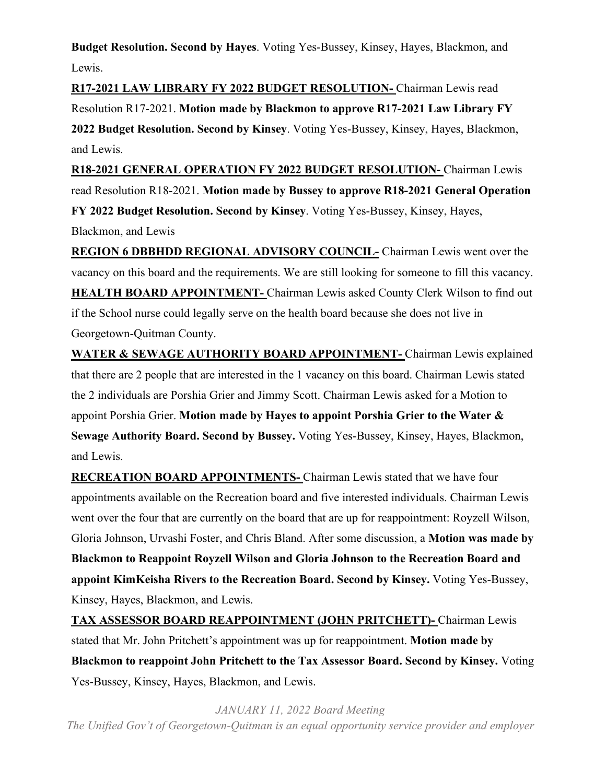**Budget Resolution. Second by Hayes**. Voting Yes-Bussey, Kinsey, Hayes, Blackmon, and Lewis.

**R17-2021 LAW LIBRARY FY 2022 BUDGET RESOLUTION-** Chairman Lewis read Resolution R17-2021. **Motion made by Blackmon to approve R17-2021 Law Library FY 2022 Budget Resolution. Second by Kinsey**. Voting Yes-Bussey, Kinsey, Hayes, Blackmon, and Lewis.

**R18-2021 GENERAL OPERATION FY 2022 BUDGET RESOLUTION-** Chairman Lewis read Resolution R18-2021. **Motion made by Bussey to approve R18-2021 General Operation FY 2022 Budget Resolution. Second by Kinsey**. Voting Yes-Bussey, Kinsey, Hayes,

Blackmon, and Lewis

**REGION 6 DBBHDD REGIONAL ADVISORY COUNCIL-** Chairman Lewis went over the vacancy on this board and the requirements. We are still looking for someone to fill this vacancy. **HEALTH BOARD APPOINTMENT-** Chairman Lewis asked County Clerk Wilson to find out if the School nurse could legally serve on the health board because she does not live in Georgetown-Quitman County.

**WATER & SEWAGE AUTHORITY BOARD APPOINTMENT-** Chairman Lewis explained that there are 2 people that are interested in the 1 vacancy on this board. Chairman Lewis stated the 2 individuals are Porshia Grier and Jimmy Scott. Chairman Lewis asked for a Motion to appoint Porshia Grier. **Motion made by Hayes to appoint Porshia Grier to the Water & Sewage Authority Board. Second by Bussey.** Voting Yes-Bussey, Kinsey, Hayes, Blackmon, and Lewis.

**RECREATION BOARD APPOINTMENTS-** Chairman Lewis stated that we have four appointments available on the Recreation board and five interested individuals. Chairman Lewis went over the four that are currently on the board that are up for reappointment: Royzell Wilson, Gloria Johnson, Urvashi Foster, and Chris Bland. After some discussion, a **Motion was made by Blackmon to Reappoint Royzell Wilson and Gloria Johnson to the Recreation Board and appoint KimKeisha Rivers to the Recreation Board. Second by Kinsey.** Voting Yes-Bussey, Kinsey, Hayes, Blackmon, and Lewis.

**TAX ASSESSOR BOARD REAPPOINTMENT (JOHN PRITCHETT)-** Chairman Lewis stated that Mr. John Pritchett's appointment was up for reappointment. **Motion made by Blackmon to reappoint John Pritchett to the Tax Assessor Board. Second by Kinsey.** Voting Yes-Bussey, Kinsey, Hayes, Blackmon, and Lewis.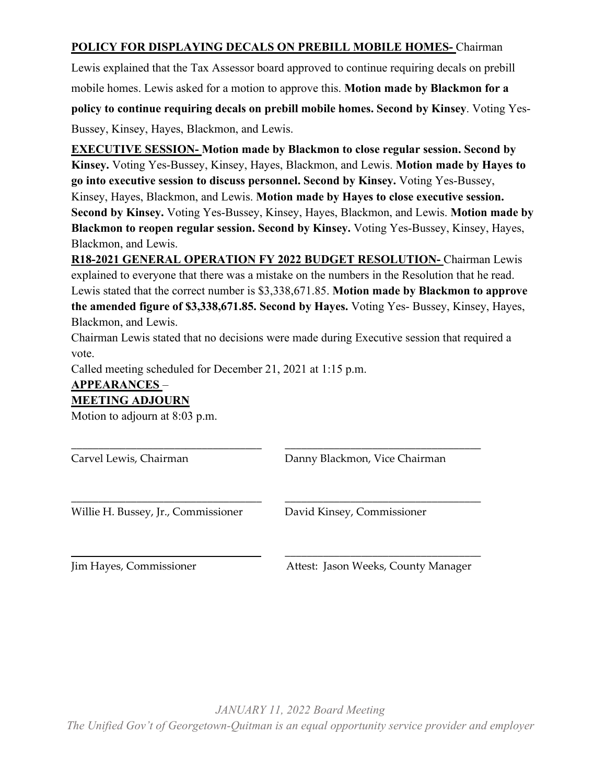## **POLICY FOR DISPLAYING DECALS ON PREBILL MOBILE HOMES-** Chairman

Lewis explained that the Tax Assessor board approved to continue requiring decals on prebill mobile homes. Lewis asked for a motion to approve this. **Motion made by Blackmon for a** 

**policy to continue requiring decals on prebill mobile homes. Second by Kinsey**. Voting Yes-

Bussey, Kinsey, Hayes, Blackmon, and Lewis.

**EXECUTIVE SESSION- Motion made by Blackmon to close regular session. Second by Kinsey.** Voting Yes-Bussey, Kinsey, Hayes, Blackmon, and Lewis. **Motion made by Hayes to go into executive session to discuss personnel. Second by Kinsey.** Voting Yes-Bussey, Kinsey, Hayes, Blackmon, and Lewis. **Motion made by Hayes to close executive session. Second by Kinsey.** Voting Yes-Bussey, Kinsey, Hayes, Blackmon, and Lewis. **Motion made by Blackmon to reopen regular session. Second by Kinsey.** Voting Yes-Bussey, Kinsey, Hayes, Blackmon, and Lewis.

**R18-2021 GENERAL OPERATION FY 2022 BUDGET RESOLUTION-** Chairman Lewis explained to everyone that there was a mistake on the numbers in the Resolution that he read. Lewis stated that the correct number is \$3,338,671.85. **Motion made by Blackmon to approve the amended figure of \$3,338,671.85. Second by Hayes.** Voting Yes- Bussey, Kinsey, Hayes, Blackmon, and Lewis.

Chairman Lewis stated that no decisions were made during Executive session that required a vote.

\_\_\_\_\_\_\_\_\_\_\_\_\_\_\_\_\_\_\_\_\_\_\_\_\_\_\_\_\_\_\_\_\_\_\_ \_\_\_\_\_\_\_\_\_\_\_\_\_\_\_\_\_\_\_\_\_\_\_\_\_\_\_\_\_\_\_\_\_\_\_\_

\_\_\_\_\_\_\_\_\_\_\_\_\_\_\_\_\_\_\_\_\_\_\_\_\_\_\_\_\_\_\_\_\_\_\_ \_\_\_\_\_\_\_\_\_\_\_\_\_\_\_\_\_\_\_\_\_\_\_\_\_\_\_\_\_\_\_\_\_\_\_\_

Called meeting scheduled for December 21, 2021 at 1:15 p.m.

## **APPEARANCES** – **MEETING ADJOURN**

Motion to adjourn at 8:03 p.m.

Carvel Lewis, Chairman Danny Blackmon, Vice Chairman

Willie H. Bussey, Jr., Commissioner David Kinsey, Commissioner

Jim Hayes, Commissioner Attest: Jason Weeks, County Manager

\_\_\_\_\_\_\_\_\_\_\_\_\_\_\_\_\_\_\_\_\_\_\_\_\_\_\_\_\_\_\_\_ \_\_\_\_\_\_\_\_\_\_\_\_\_\_\_\_\_\_\_\_\_\_\_\_\_\_\_\_\_\_\_\_\_\_\_\_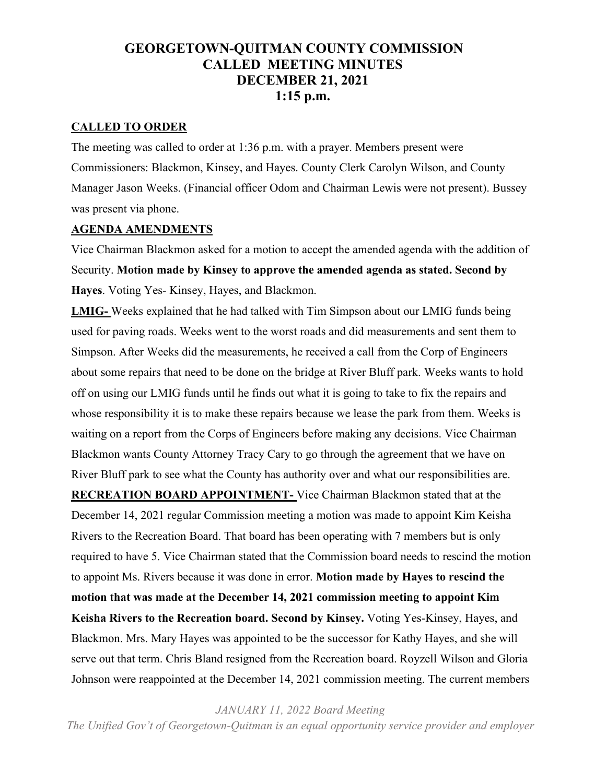# **GEORGETOWN-QUITMAN COUNTY COMMISSION CALLED MEETING MINUTES DECEMBER 21, 2021 1:15 p.m.**

#### **CALLED TO ORDER**

The meeting was called to order at 1:36 p.m. with a prayer. Members present were Commissioners: Blackmon, Kinsey, and Hayes. County Clerk Carolyn Wilson, and County Manager Jason Weeks. (Financial officer Odom and Chairman Lewis were not present). Bussey was present via phone.

#### **AGENDA AMENDMENTS**

Vice Chairman Blackmon asked for a motion to accept the amended agenda with the addition of Security. **Motion made by Kinsey to approve the amended agenda as stated. Second by Hayes**. Voting Yes- Kinsey, Hayes, and Blackmon.

**LMIG-** Weeks explained that he had talked with Tim Simpson about our LMIG funds being used for paving roads. Weeks went to the worst roads and did measurements and sent them to Simpson. After Weeks did the measurements, he received a call from the Corp of Engineers about some repairs that need to be done on the bridge at River Bluff park. Weeks wants to hold off on using our LMIG funds until he finds out what it is going to take to fix the repairs and whose responsibility it is to make these repairs because we lease the park from them. Weeks is waiting on a report from the Corps of Engineers before making any decisions. Vice Chairman Blackmon wants County Attorney Tracy Cary to go through the agreement that we have on River Bluff park to see what the County has authority over and what our responsibilities are. **RECREATION BOARD APPOINTMENT-** Vice Chairman Blackmon stated that at the December 14, 2021 regular Commission meeting a motion was made to appoint Kim Keisha Rivers to the Recreation Board. That board has been operating with 7 members but is only required to have 5. Vice Chairman stated that the Commission board needs to rescind the motion to appoint Ms. Rivers because it was done in error. **Motion made by Hayes to rescind the motion that was made at the December 14, 2021 commission meeting to appoint Kim Keisha Rivers to the Recreation board. Second by Kinsey.** Voting Yes-Kinsey, Hayes, and Blackmon. Mrs. Mary Hayes was appointed to be the successor for Kathy Hayes, and she will serve out that term. Chris Bland resigned from the Recreation board. Royzell Wilson and Gloria Johnson were reappointed at the December 14, 2021 commission meeting. The current members